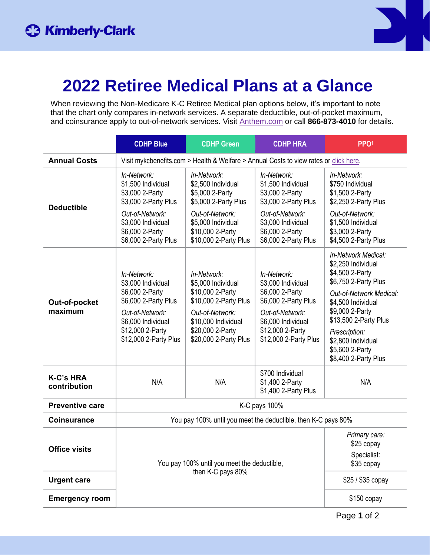

## **2022 Retiree Medical Plans at a Glance**

When reviewing the Non-Medicare K-C Retiree Medical plan options below, it's important to note that the chart only compares in-network services. A separate deductible, out-of-pocket maximum, and coinsurance apply to out-of-network services. Visit [Anthem.com](http://anthem.com/) or call **866-873-4010** for details.

|                                  | <b>CDHP Blue</b>                                                                                                                                                   | <b>CDHP Green</b>                                                                                                                                                     | <b>CDHP HRA</b>                                                                                                                                                    | PPO <sup>1</sup>                                                                                                                                                                                                                                                    |  |  |
|----------------------------------|--------------------------------------------------------------------------------------------------------------------------------------------------------------------|-----------------------------------------------------------------------------------------------------------------------------------------------------------------------|--------------------------------------------------------------------------------------------------------------------------------------------------------------------|---------------------------------------------------------------------------------------------------------------------------------------------------------------------------------------------------------------------------------------------------------------------|--|--|
| <b>Annual Costs</b>              | Visit mykcbenefits.com > Health & Welfare > Annual Costs to view rates or click here.                                                                              |                                                                                                                                                                       |                                                                                                                                                                    |                                                                                                                                                                                                                                                                     |  |  |
| <b>Deductible</b>                | In-Network:<br>\$1,500 Individual<br>\$3,000 2-Party<br>\$3,000 2-Party Plus<br>Out-of-Network:<br>\$3,000 Individual                                              | In-Network:<br>\$2,500 Individual<br>\$5,000 2-Party<br>\$5,000 2-Party Plus<br>Out-of-Network:<br>\$5,000 Individual                                                 | In-Network:<br>\$1,500 Individual<br>\$3,000 2-Party<br>\$3,000 2-Party Plus<br>Out-of-Network:<br>\$3,000 Individual                                              | In-Network:<br>\$750 Individual<br>\$1,500 2-Party<br>\$2,250 2-Party Plus<br>Out-of-Network:<br>\$1,500 Individual                                                                                                                                                 |  |  |
|                                  | \$6,000 2-Party<br>\$6,000 2-Party Plus                                                                                                                            | \$10,000 2-Party<br>\$10,000 2-Party Plus                                                                                                                             | \$6,000 2-Party<br>\$6,000 2-Party Plus                                                                                                                            | \$3,000 2-Party<br>\$4,500 2-Party Plus                                                                                                                                                                                                                             |  |  |
| Out-of-pocket<br>maximum         | In-Network:<br>\$3,000 Individual<br>\$6,000 2-Party<br>\$6,000 2-Party Plus<br>Out-of-Network:<br>\$6,000 Individual<br>\$12,000 2-Party<br>\$12,000 2-Party Plus | In-Network:<br>\$5,000 Individual<br>\$10,000 2-Party<br>\$10,000 2-Party Plus<br>Out-of-Network:<br>\$10,000 Individual<br>\$20,000 2-Party<br>\$20,000 2-Party Plus | In-Network:<br>\$3,000 Individual<br>\$6,000 2-Party<br>\$6,000 2-Party Plus<br>Out-of-Network:<br>\$6,000 Individual<br>\$12,000 2-Party<br>\$12,000 2-Party Plus | In-Network Medical:<br>\$2,250 Individual<br>\$4,500 2-Party<br>\$6,750 2-Party Plus<br>Out-of-Network Medical:<br>\$4,500 Individual<br>\$9,000 2-Party<br>\$13,500 2-Party Plus<br>Prescription:<br>\$2,800 Individual<br>\$5,600 2-Party<br>\$8,400 2-Party Plus |  |  |
| <b>K-C's HRA</b><br>contribution | N/A                                                                                                                                                                | N/A                                                                                                                                                                   | \$700 Individual<br>\$1,400 2-Party<br>\$1,400 2-Party Plus                                                                                                        | N/A                                                                                                                                                                                                                                                                 |  |  |
| <b>Preventive care</b>           | K-C pays 100%                                                                                                                                                      |                                                                                                                                                                       |                                                                                                                                                                    |                                                                                                                                                                                                                                                                     |  |  |
| <b>Coinsurance</b>               | You pay 100% until you meet the deductible, then K-C pays 80%                                                                                                      |                                                                                                                                                                       |                                                                                                                                                                    |                                                                                                                                                                                                                                                                     |  |  |
| <b>Office visits</b>             | You pay 100% until you meet the deductible,                                                                                                                        | Primary care:<br>$$25$ copay<br>Specialist:<br>\$35 copay                                                                                                             |                                                                                                                                                                    |                                                                                                                                                                                                                                                                     |  |  |
| <b>Urgent care</b>               |                                                                                                                                                                    | \$25 / \$35 copay                                                                                                                                                     |                                                                                                                                                                    |                                                                                                                                                                                                                                                                     |  |  |
| <b>Emergency room</b>            |                                                                                                                                                                    | \$150 copay                                                                                                                                                           |                                                                                                                                                                    |                                                                                                                                                                                                                                                                     |  |  |